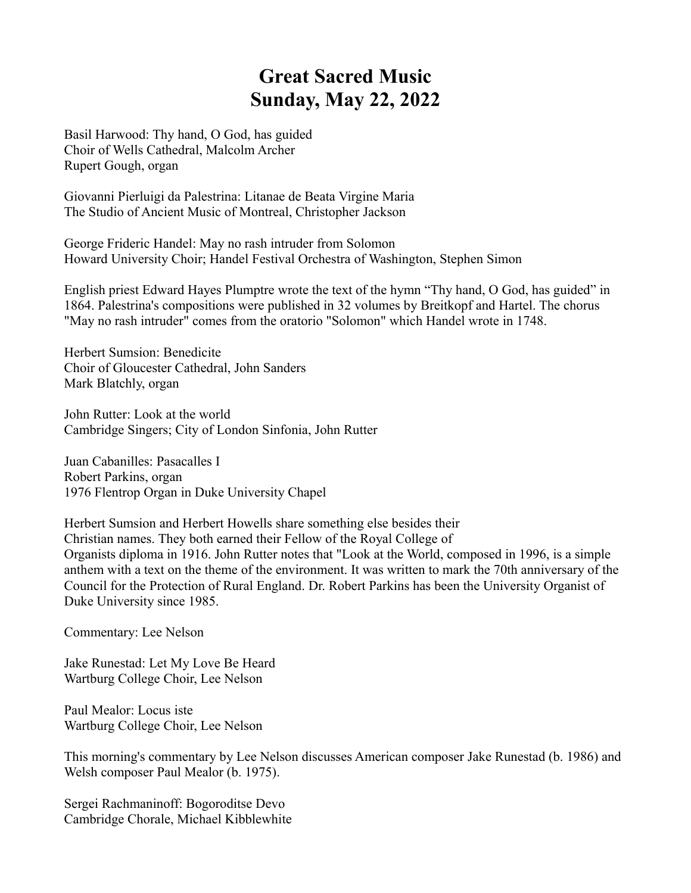## **Great Sacred Music Sunday, May 22, 2022**

Basil Harwood: Thy hand, O God, has guided Choir of Wells Cathedral, Malcolm Archer Rupert Gough, organ

Giovanni Pierluigi da Palestrina: Litanae de Beata Virgine Maria The Studio of Ancient Music of Montreal, Christopher Jackson

George Frideric Handel: May no rash intruder from Solomon Howard University Choir; Handel Festival Orchestra of Washington, Stephen Simon

English priest Edward Hayes Plumptre wrote the text of the hymn "Thy hand, O God, has guided" in 1864. Palestrina's compositions were published in 32 volumes by Breitkopf and Hartel. The chorus "May no rash intruder" comes from the oratorio "Solomon" which Handel wrote in 1748.

Herbert Sumsion: Benedicite Choir of Gloucester Cathedral, John Sanders Mark Blatchly, organ

John Rutter: Look at the world Cambridge Singers; City of London Sinfonia, John Rutter

Juan Cabanilles: Pasacalles I Robert Parkins, organ 1976 Flentrop Organ in Duke University Chapel

Herbert Sumsion and Herbert Howells share something else besides their Christian names. They both earned their Fellow of the Royal College of Organists diploma in 1916. John Rutter notes that "Look at the World, composed in 1996, is a simple anthem with a text on the theme of the environment. It was written to mark the 70th anniversary of the Council for the Protection of Rural England. Dr. Robert Parkins has been the University Organist of Duke University since 1985.

Commentary: Lee Nelson

Jake Runestad: Let My Love Be Heard Wartburg College Choir, Lee Nelson

Paul Mealor: Locus iste Wartburg College Choir, Lee Nelson

This morning's commentary by Lee Nelson discusses American composer Jake Runestad (b. 1986) and Welsh composer Paul Mealor (b. 1975).

Sergei Rachmaninoff: Bogoroditse Devo Cambridge Chorale, Michael Kibblewhite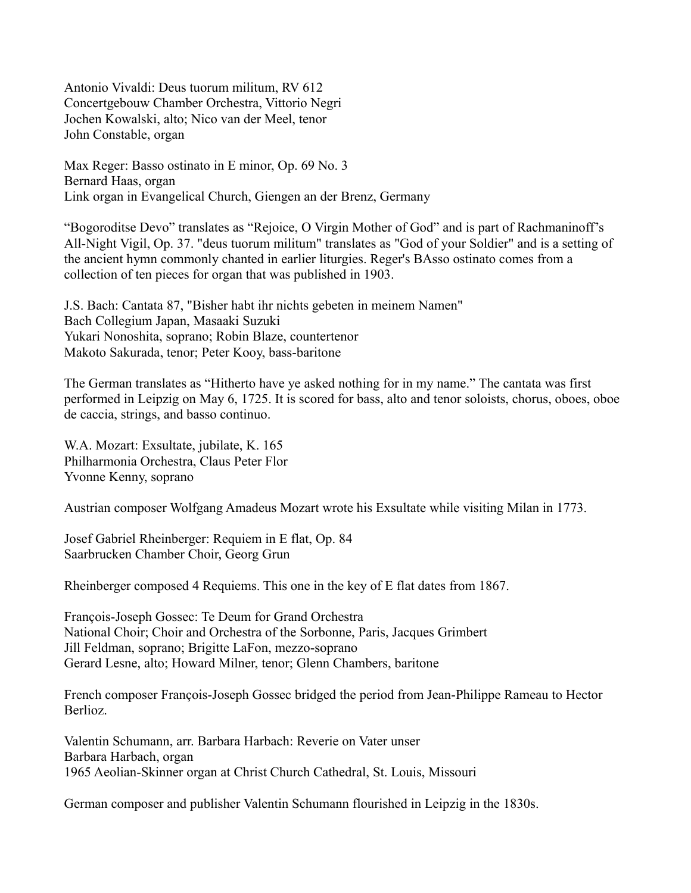Antonio Vivaldi: Deus tuorum militum, RV 612 Concertgebouw Chamber Orchestra, Vittorio Negri Jochen Kowalski, alto; Nico van der Meel, tenor John Constable, organ

Max Reger: Basso ostinato in E minor, Op. 69 No. 3 Bernard Haas, organ Link organ in Evangelical Church, Giengen an der Brenz, Germany

"Bogoroditse Devo" translates as "Rejoice, O Virgin Mother of God" and is part of Rachmaninoff's All-Night Vigil, Op. 37. "deus tuorum militum" translates as "God of your Soldier" and is a setting of the ancient hymn commonly chanted in earlier liturgies. Reger's BAsso ostinato comes from a collection of ten pieces for organ that was published in 1903.

J.S. Bach: Cantata 87, "Bisher habt ihr nichts gebeten in meinem Namen" Bach Collegium Japan, Masaaki Suzuki Yukari Nonoshita, soprano; Robin Blaze, countertenor Makoto Sakurada, tenor; Peter Kooy, bass-baritone

The German translates as "Hitherto have ye asked nothing for in my name." The cantata was first performed in Leipzig on May 6, 1725. It is scored for bass, alto and tenor soloists, chorus, oboes, oboe de caccia, strings, and basso continuo.

W.A. Mozart: Exsultate, jubilate, K. 165 Philharmonia Orchestra, Claus Peter Flor Yvonne Kenny, soprano

Austrian composer Wolfgang Amadeus Mozart wrote his Exsultate while visiting Milan in 1773.

Josef Gabriel Rheinberger: Requiem in E flat, Op. 84 Saarbrucken Chamber Choir, Georg Grun

Rheinberger composed 4 Requiems. This one in the key of E flat dates from 1867.

François-Joseph Gossec: Te Deum for Grand Orchestra National Choir; Choir and Orchestra of the Sorbonne, Paris, Jacques Grimbert Jill Feldman, soprano; Brigitte LaFon, mezzo-soprano Gerard Lesne, alto; Howard Milner, tenor; Glenn Chambers, baritone

French composer François-Joseph Gossec bridged the period from Jean-Philippe Rameau to Hector Berlioz.

Valentin Schumann, arr. Barbara Harbach: Reverie on Vater unser Barbara Harbach, organ 1965 Aeolian-Skinner organ at Christ Church Cathedral, St. Louis, Missouri

German composer and publisher Valentin Schumann flourished in Leipzig in the 1830s.